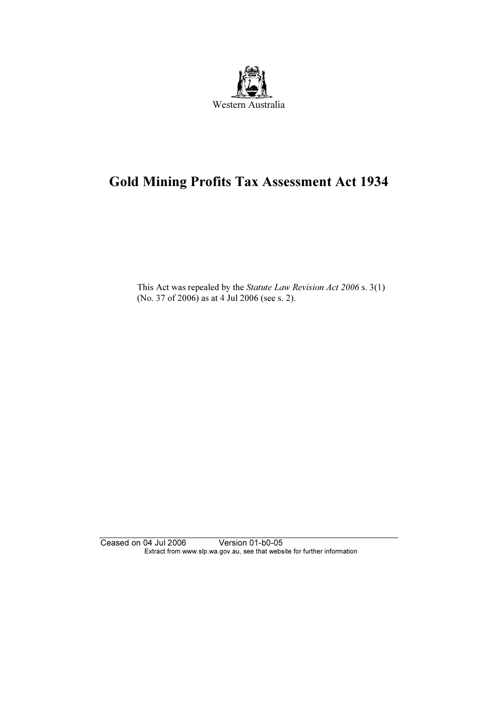

# Gold Mining Profits Tax Assessment Act 1934

 This Act was repealed by the Statute Law Revision Act 2006 s. 3(1) (No. 37 of 2006) as at 4 Jul 2006 (see s. 2).

Ceased on 04 Jul 2006 Version 01-b0-05 Extract from www.slp.wa.gov.au, see that website for further information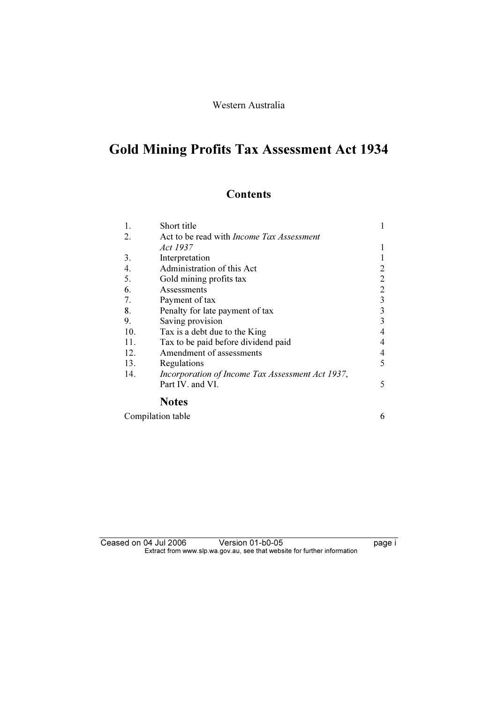# Western Australia

# Gold Mining Profits Tax Assessment Act 1934

# **Contents**

| 1.  | Short title                                      |                |
|-----|--------------------------------------------------|----------------|
| 2.  | Act to be read with <i>Income Tax Assessment</i> |                |
|     | Act 1937                                         |                |
| 3.  | Interpretation                                   |                |
| 4.  | Administration of this Act                       | 2              |
| 5.  | Gold mining profits tax                          | $\overline{2}$ |
| 6.  | Assessments                                      | $\overline{2}$ |
| 7.  | Payment of tax                                   | $\overline{3}$ |
| 8.  | Penalty for late payment of tax                  | 3              |
| 9.  | Saving provision                                 | 3              |
| 10. | Tax is a debt due to the King                    | 4              |
| 11. | Tax to be paid before dividend paid              | $\overline{4}$ |
| 12. | Amendment of assessments                         | $\overline{4}$ |
| 13. | Regulations                                      | 5              |
| 14. | Incorporation of Income Tax Assessment Act 1937, |                |
|     | Part IV. and VI.                                 | 5              |
|     |                                                  |                |

#### Notes

| Compilation table |  |
|-------------------|--|
|-------------------|--|

#### Ceased on 04 Jul 2006 Version 01-b0-05 Page i Extract from www.slp.wa.gov.au, see that website for further information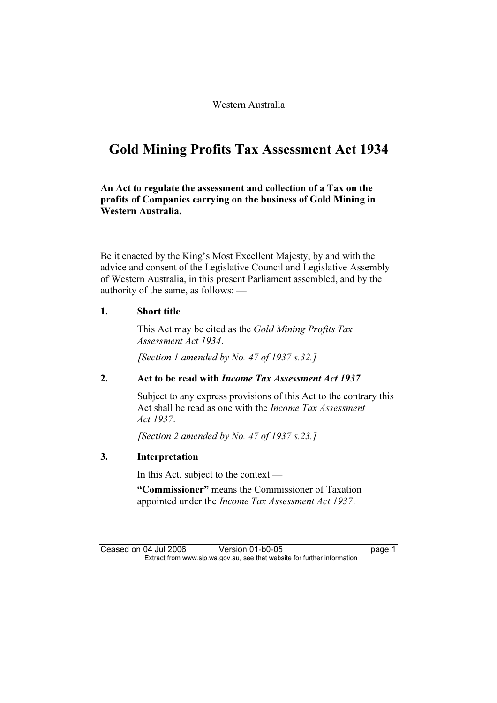Western Australia

# Gold Mining Profits Tax Assessment Act 1934

An Act to regulate the assessment and collection of a Tax on the profits of Companies carrying on the business of Gold Mining in Western Australia.

Be it enacted by the King's Most Excellent Majesty, by and with the advice and consent of the Legislative Council and Legislative Assembly of Western Australia, in this present Parliament assembled, and by the authority of the same, as follows: —

### 1. Short title

 This Act may be cited as the Gold Mining Profits Tax Assessment Act 1934.

[Section 1 amended by No. 47 of 1937 s.32.]

# 2. Act to be read with *Income Tax Assessment Act 1937*

 Subject to any express provisions of this Act to the contrary this Act shall be read as one with the *Income Tax Assessment* Act 1937.

[Section 2 amended by No. 47 of 1937 s.23.]

# 3. Interpretation

In this Act, subject to the context —

 "Commissioner" means the Commissioner of Taxation appointed under the Income Tax Assessment Act 1937.

Ceased on 04 Jul 2006 Version 01-b0-05 page 1<br>Extract from www.slp.wa.gov.au, see that website for further information  $\mathbf{F}$  from which was the set that we besite for further information  $\mathbf{F}$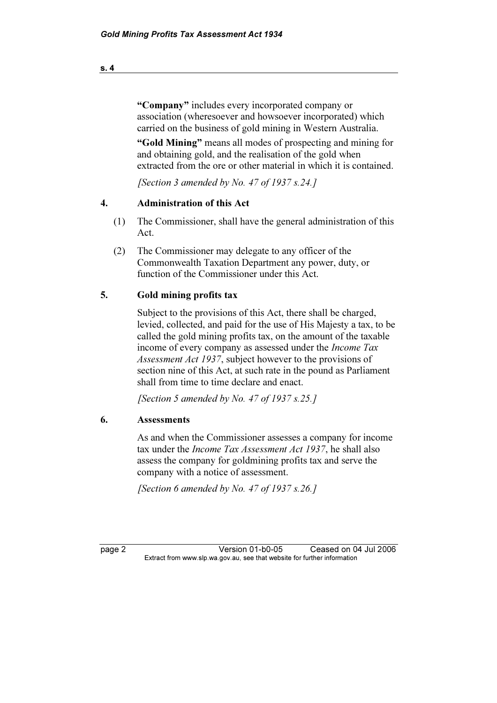"Company" includes every incorporated company or association (wheresoever and howsoever incorporated) which carried on the business of gold mining in Western Australia.

 "Gold Mining" means all modes of prospecting and mining for and obtaining gold, and the realisation of the gold when extracted from the ore or other material in which it is contained.

[Section 3 amended by No. 47 of 1937 s.24.]

# 4. Administration of this Act

- (1) The Commissioner, shall have the general administration of this Act.
- (2) The Commissioner may delegate to any officer of the Commonwealth Taxation Department any power, duty, or function of the Commissioner under this Act.

# 5. Gold mining profits tax

 Subject to the provisions of this Act, there shall be charged, levied, collected, and paid for the use of His Majesty a tax, to be called the gold mining profits tax, on the amount of the taxable income of every company as assessed under the Income Tax Assessment Act 1937, subject however to the provisions of section nine of this Act, at such rate in the pound as Parliament shall from time to time declare and enact.

[Section 5 amended by No. 47 of 1937 s.25.]

# 6. Assessments

 As and when the Commissioner assesses a company for income tax under the Income Tax Assessment Act 1937, he shall also assess the company for goldmining profits tax and serve the company with a notice of assessment.

[Section 6 amended by No. 47 of 1937 s.26.]

page 2 Version 01-b0-05 Ceased on 04 Jul 2006<br>Extract from www.slp.wa.gov.au, see that website for further information  $\mathbf{F}$  from which was the set that we besite for further information  $\mathbf{F}$ 

s. 4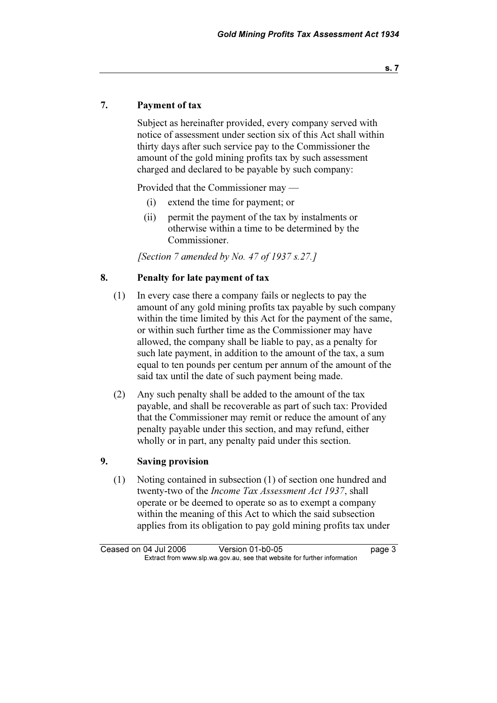s. 7

### 7. Payment of tax

 Subject as hereinafter provided, every company served with notice of assessment under section six of this Act shall within thirty days after such service pay to the Commissioner the amount of the gold mining profits tax by such assessment charged and declared to be payable by such company:

Provided that the Commissioner may —

- (i) extend the time for payment; or
- (ii) permit the payment of the tax by instalments or otherwise within a time to be determined by the Commissioner.

[Section 7 amended by No. 47 of 1937 s.27.]

### 8. Penalty for late payment of tax

- (1) In every case there a company fails or neglects to pay the amount of any gold mining profits tax payable by such company within the time limited by this Act for the payment of the same, or within such further time as the Commissioner may have allowed, the company shall be liable to pay, as a penalty for such late payment, in addition to the amount of the tax, a sum equal to ten pounds per centum per annum of the amount of the said tax until the date of such payment being made.
- (2) Any such penalty shall be added to the amount of the tax payable, and shall be recoverable as part of such tax: Provided that the Commissioner may remit or reduce the amount of any penalty payable under this section, and may refund, either wholly or in part, any penalty paid under this section.

#### 9. Saving provision

 (1) Noting contained in subsection (1) of section one hundred and twenty-two of the Income Tax Assessment Act 1937, shall operate or be deemed to operate so as to exempt a company within the meaning of this Act to which the said subsection applies from its obligation to pay gold mining profits tax under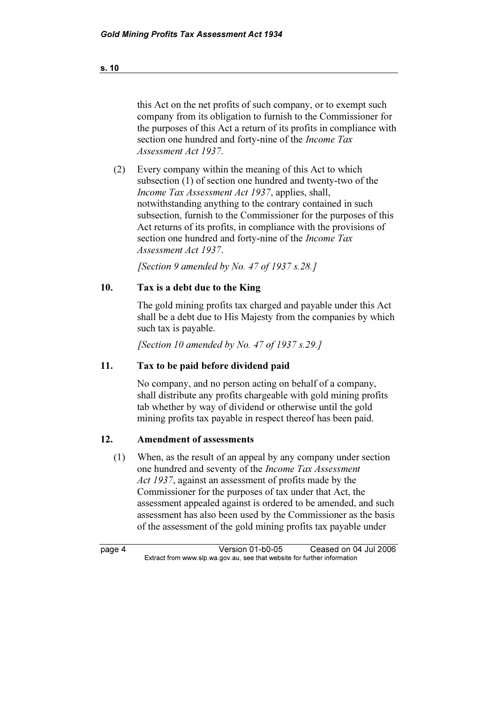this Act on the net profits of such company, or to exempt such company from its obligation to furnish to the Commissioner for the purposes of this Act a return of its profits in compliance with section one hundred and forty-nine of the *Income Tax* Assessment Act 1937.

 (2) Every company within the meaning of this Act to which subsection (1) of section one hundred and twenty-two of the Income Tax Assessment Act 1937, applies, shall, notwithstanding anything to the contrary contained in such subsection, furnish to the Commissioner for the purposes of this Act returns of its profits, in compliance with the provisions of section one hundred and forty-nine of the *Income Tax* Assessment Act 1937.

[Section 9 amended by No. 47 of 1937 s.28.]

# 10. Tax is a debt due to the King

 The gold mining profits tax charged and payable under this Act shall be a debt due to His Majesty from the companies by which such tax is payable.

[Section 10 amended by No. 47 of 1937 s.29.]

#### 11. Tax to be paid before dividend paid

 No company, and no person acting on behalf of a company, shall distribute any profits chargeable with gold mining profits tab whether by way of dividend or otherwise until the gold mining profits tax payable in respect thereof has been paid.

#### 12. Amendment of assessments

 (1) When, as the result of an appeal by any company under section one hundred and seventy of the Income Tax Assessment Act 1937, against an assessment of profits made by the Commissioner for the purposes of tax under that Act, the assessment appealed against is ordered to be amended, and such assessment has also been used by the Commissioner as the basis of the assessment of the gold mining profits tax payable under

page 4 Version 01-b0-05 Ceased on 04 Jul 2006<br>Extract from www.slp.wa.gov.au, see that website for further information  $\mathbf{F}$  from which was the set that we besite for further information  $\mathbf{F}$ 

s. 10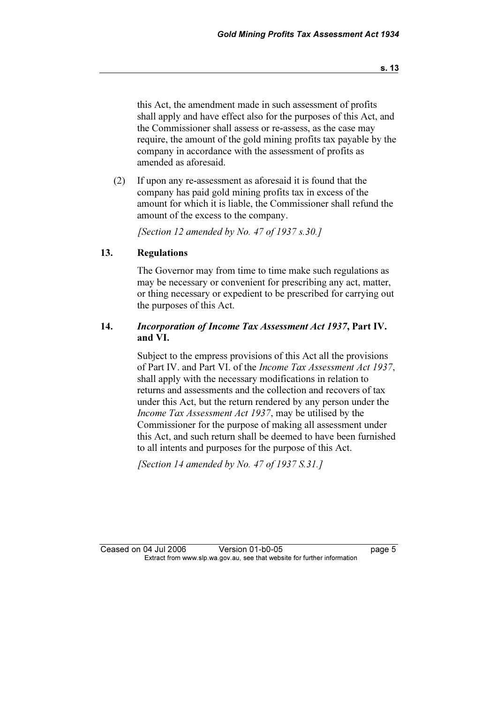this Act, the amendment made in such assessment of profits shall apply and have effect also for the purposes of this Act, and the Commissioner shall assess or re-assess, as the case may require, the amount of the gold mining profits tax payable by the company in accordance with the assessment of profits as amended as aforesaid.

 (2) If upon any re-assessment as aforesaid it is found that the company has paid gold mining profits tax in excess of the amount for which it is liable, the Commissioner shall refund the amount of the excess to the company.

[Section 12 amended by No. 47 of 1937 s.30.]

### 13. Regulations

 The Governor may from time to time make such regulations as may be necessary or convenient for prescribing any act, matter, or thing necessary or expedient to be prescribed for carrying out the purposes of this Act.

## 14. Incorporation of Income Tax Assessment Act 1937, Part IV. and VI.

 Subject to the empress provisions of this Act all the provisions of Part IV. and Part VI. of the Income Tax Assessment Act 1937, shall apply with the necessary modifications in relation to returns and assessments and the collection and recovers of tax under this Act, but the return rendered by any person under the Income Tax Assessment Act 1937, may be utilised by the Commissioner for the purpose of making all assessment under this Act, and such return shall be deemed to have been furnished to all intents and purposes for the purpose of this Act.

[Section 14 amended by No. 47 of 1937  $S.31.1$ ]

s. 13